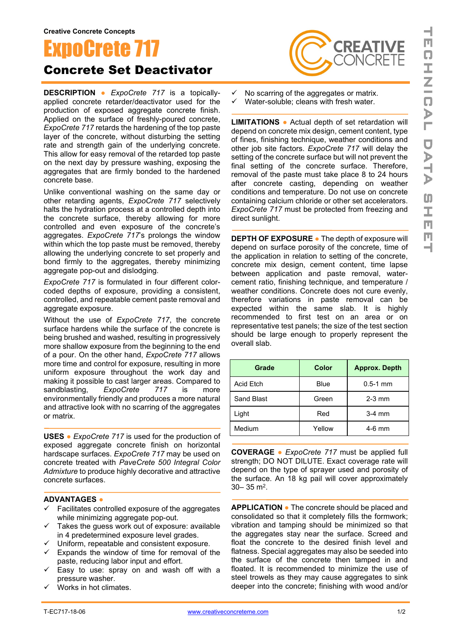## noCrete 7

## Concrete Set Deactivator

**DESCRIPTION ●** *ExpoCrete 717* is a topicallyapplied concrete retarder/deactivator used for the production of exposed aggregate concrete finish. Applied on the surface of freshly-poured concrete, *ExpoCrete 717* retards the hardening of the top paste layer of the concrete, without disturbing the setting rate and strength gain of the underlying concrete. This allow for easy removal of the retarded top paste on the next day by pressure washing, exposing the aggregates that are firmly bonded to the hardened concrete base.

Unlike conventional washing on the same day or other retarding agents, *ExpoCrete 717* selectively halts the hydration process at a controlled depth into the concrete surface, thereby allowing for more controlled and even exposure of the concrete's aggregates. *ExpoCrete 717*'s prolongs the window within which the top paste must be removed, thereby allowing the underlying concrete to set properly and bond firmly to the aggregates, thereby minimizing aggregate pop-out and dislodging.

*ExpoCrete 717* is formulated in four different colorcoded depths of exposure, providing a consistent, controlled, and repeatable cement paste removal and aggregate exposure.

Without the use of *ExpoCrete 717*, the concrete surface hardens while the surface of the concrete is being brushed and washed, resulting in progressively more shallow exposure from the beginning to the end of a pour. On the other hand, *ExpoCrete 717* allows more time and control for exposure, resulting in more uniform exposure throughout the work day and making it possible to cast larger areas. Compared to sandblasting, *ExpoCrete 717* is more environmentally friendly and produces a more natural and attractive look with no scarring of the aggregates or matrix.

**USES ●** *ExpoCrete 717* is used for the production of exposed aggregate concrete finish on horizontal hardscape surfaces. *ExpoCrete 717* may be used on concrete treated with *PaveCrete 500 Integral Color Admixture* to produce highly decorative and attractive concrete surfaces.

## **ADVANTAGES ●**

- Facilitates controlled exposure of the aggregates while minimizing aggregate pop-out.
- Takes the guess work out of exposure: available in 4 predetermined exposure level grades.
- $\checkmark$  Uniform, repeatable and consistent exposure.
- $\checkmark$  Expands the window of time for removal of the paste, reducing labor input and effort.
- Easy to use: spray on and wash off with a pressure washer.
- Works in hot climates.



No scarring of the aggregates or matrix.

 $\checkmark$  Water-soluble; cleans with fresh water.

**LIMITATIONS ●** Actual depth of set retardation will depend on concrete mix design, cement content, type of fines, finishing technique, weather conditions and other job site factors. *ExpoCrete 717* will delay the setting of the concrete surface but will not prevent the final setting of the concrete surface. Therefore, removal of the paste must take place 8 to 24 hours after concrete casting, depending on weather conditions and temperature. Do not use on concrete containing calcium chloride or other set accelerators. *ExpoCrete 717* must be protected from freezing and direct sunlight.

**DEPTH OF EXPOSURE ●** The depth of exposure will depend on surface porosity of the concrete, time of the application in relation to setting of the concrete, concrete mix design, cement content, time lapse between application and paste removal, watercement ratio, finishing technique, and temperature / weather conditions. Concrete does not cure evenly, therefore variations in paste removal can be expected within the same slab. It is highly recommended to first test on an area or on representative test panels; the size of the test section should be large enough to properly represent the overall slab.

| Grade             | Color  | <b>Approx. Depth</b> |
|-------------------|--------|----------------------|
| Acid Etch         | Blue   | $0.5 - 1$ mm         |
| <b>Sand Blast</b> | Green  | $2-3$ mm             |
| Light             | Red    | $3-4$ mm             |
| Medium            | Yellow | $4-6$ mm             |

**COVERAGE ●** *ExpoCrete 717* must be applied full strength; DO NOT DILUTE. Exact coverage rate will depend on the type of sprayer used and porosity of the surface. An 18 kg pail will cover approximately 30– 35 m2.

**APPLICATION ●** The concrete should be placed and consolidated so that it completely fills the formwork; vibration and tamping should be minimized so that the aggregates stay near the surface. Screed and float the concrete to the desired finish level and flatness. Special aggregates may also be seeded into the surface of the concrete then tamped in and floated. It is recommended to minimize the use of steel trowels as they may cause aggregates to sink deeper into the concrete; finishing with wood and/or